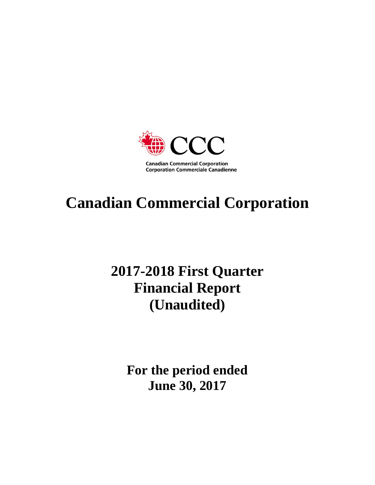

# **Canadian Commercial Corporation**

# **2017-2018 First Quarter Financial Report (Unaudited)**

**For the period ended June 30, 2017**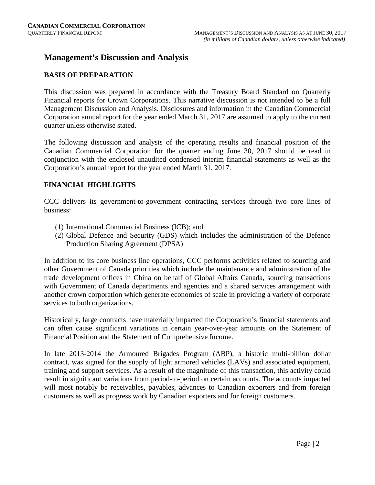### **Management's Discussion and Analysis**

#### **BASIS OF PREPARATION**

This discussion was prepared in accordance with the Treasury Board Standard on Quarterly Financial reports for Crown Corporations. This narrative discussion is not intended to be a full Management Discussion and Analysis. Disclosures and information in the Canadian Commercial Corporation annual report for the year ended March 31, 2017 are assumed to apply to the current quarter unless otherwise stated.

The following discussion and analysis of the operating results and financial position of the Canadian Commercial Corporation for the quarter ending June 30, 2017 should be read in conjunction with the enclosed unaudited condensed interim financial statements as well as the Corporation's annual report for the year ended March 31, 2017.

#### **FINANCIAL HIGHLIGHTS**

CCC delivers its government-to-government contracting services through two core lines of business:

- (1) International Commercial Business (ICB); and
- (2) Global Defence and Security (GDS) which includes the administration of the Defence Production Sharing Agreement (DPSA)

In addition to its core business line operations, CCC performs activities related to sourcing and other Government of Canada priorities which include the maintenance and administration of the trade development offices in China on behalf of Global Affairs Canada, sourcing transactions with Government of Canada departments and agencies and a shared services arrangement with another crown corporation which generate economies of scale in providing a variety of corporate services to both organizations.

Historically, large contracts have materially impacted the Corporation's financial statements and can often cause significant variations in certain year-over-year amounts on the Statement of Financial Position and the Statement of Comprehensive Income.

In late 2013-2014 the Armoured Brigades Program (ABP), a historic multi-billion dollar contract, was signed for the supply of light armored vehicles (LAVs) and associated equipment, training and support services. As a result of the magnitude of this transaction, this activity could result in significant variations from period-to-period on certain accounts. The accounts impacted will most notably be receivables, payables, advances to Canadian exporters and from foreign customers as well as progress work by Canadian exporters and for foreign customers.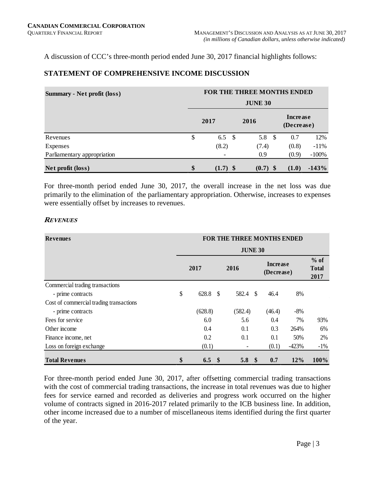A discussion of CCC's three-month period ended June 30, 2017 financial highlights follows:

#### **STATEMENT OF COMPREHENSIVE INCOME DISCUSSION**

| <b>Summary - Net profit (loss)</b> | FOR THE THREE MONTHS ENDED |                |  |            |      |                        |         |  |  |  |  |  |  |
|------------------------------------|----------------------------|----------------|--|------------|------|------------------------|---------|--|--|--|--|--|--|
|                                    | <b>JUNE 30</b>             |                |  |            |      |                        |         |  |  |  |  |  |  |
|                                    |                            | 2017           |  | 2016       |      | Increase<br>(Decrease) |         |  |  |  |  |  |  |
| Revenues                           | S                          | 6.5 $\sqrt{ }$ |  | 5.8        | - \$ | 0.7                    | 12%     |  |  |  |  |  |  |
| Expenses                           |                            | (8.2)          |  | (7.4)      |      | (0.8)                  | $-11%$  |  |  |  |  |  |  |
| Parliamentary appropriation        |                            |                |  | 0.9        |      | (0.9)                  | $-100%$ |  |  |  |  |  |  |
| Net profit (loss)                  | \$                         | $(1.7)$ \$     |  | $(0.7)$ \$ |      | (1.0)                  | $-143%$ |  |  |  |  |  |  |

For three-month period ended June 30, 2017, the overall increase in the net loss was due primarily to the elimination of the parliamentary appropriation. Otherwise, increases to expenses were essentially offset by increases to revenues.

#### **REVENUES**

| <b>Revenues</b>                         | FOR THE THREE MONTHS ENDED |         |               |                  |                        |        |         |                                |  |  |  |  |
|-----------------------------------------|----------------------------|---------|---------------|------------------|------------------------|--------|---------|--------------------------------|--|--|--|--|
|                                         | <b>JUNE 30</b>             |         |               |                  |                        |        |         |                                |  |  |  |  |
|                                         |                            | 2017    |               | 2016             | Increase<br>(Decrease) |        |         | $%$ of<br><b>Total</b><br>2017 |  |  |  |  |
| Commercial trading transactions         |                            |         |               |                  |                        |        |         |                                |  |  |  |  |
| - prime contracts                       | \$                         | 628.8   | $\mathcal{S}$ | 582.4            | <sup>\$</sup>          | 46.4   | 8%      |                                |  |  |  |  |
| Cost of commercial trading transactions |                            |         |               |                  |                        |        |         |                                |  |  |  |  |
| - prime contracts                       |                            | (628.8) |               | (582.4)          |                        | (46.4) | $-8%$   |                                |  |  |  |  |
| Fees for service                        |                            | 6.0     |               | 5.6              |                        | 0.4    | 7%      | 93%                            |  |  |  |  |
| Other income                            |                            | 0.4     |               | 0.1              |                        | 0.3    | 264%    | 6%                             |  |  |  |  |
| Finance income, net                     |                            | 0.2     |               | 0.1              |                        | 0.1    | 50%     | 2%                             |  |  |  |  |
| Loss on foreign exchange                |                            | (0.1)   |               |                  |                        | (0.1)  | $-423%$ | $-1\%$                         |  |  |  |  |
| <b>Total Revenues</b>                   | \$                         | 6.5     | - \$          | 5.8 <sup>°</sup> |                        | 0.7    | 12%     | 100%                           |  |  |  |  |

For three-month period ended June 30, 2017, after offsetting commercial trading transactions with the cost of commercial trading transactions, the increase in total revenues was due to higher fees for service earned and recorded as deliveries and progress work occurred on the higher volume of contracts signed in 2016-2017 related primarily to the ICB business line. In addition, other income increased due to a number of miscellaneous items identified during the first quarter of the year.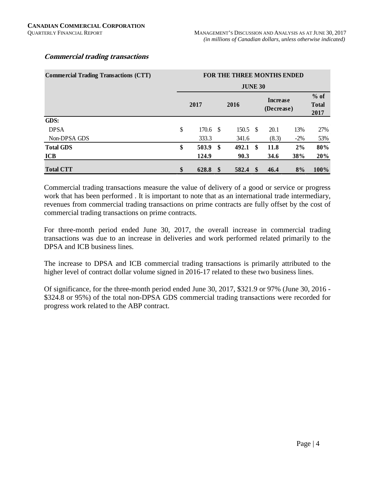#### **Commercial trading transactions**

| <b>Commercial Trading Transactions (CTT)</b> | FOR THE THREE MONTHS ENDED |               |       |    |                        |                                |      |  |  |  |  |  |  |
|----------------------------------------------|----------------------------|---------------|-------|----|------------------------|--------------------------------|------|--|--|--|--|--|--|
|                                              | <b>JUNE 30</b>             |               |       |    |                        |                                |      |  |  |  |  |  |  |
|                                              | 2017                       |               | 2016  |    | Increase<br>(Decrease) | $%$ of<br><b>Total</b><br>2017 |      |  |  |  |  |  |  |
| GDS:                                         |                            |               |       |    |                        |                                |      |  |  |  |  |  |  |
| <b>DPSA</b>                                  | \$<br>170.6                | -S            | 150.5 | -S | 20.1                   | 13%                            | 27%  |  |  |  |  |  |  |
| Non-DPSA GDS                                 | 333.3                      |               | 341.6 |    | (8.3)                  | $-2\%$                         | 53%  |  |  |  |  |  |  |
| <b>Total GDS</b>                             | \$<br>503.9                | \$            | 492.1 | \$ | 11.8                   | 2%                             | 80%  |  |  |  |  |  |  |
| <b>ICB</b>                                   | 124.9                      |               | 90.3  |    | 34.6                   | 38%                            | 20%  |  |  |  |  |  |  |
| <b>Total CTT</b>                             | \$<br>628.8                | $\mathbf{\$}$ | 582.4 | S  | 46.4                   | 8%                             | 100% |  |  |  |  |  |  |

Commercial trading transactions measure the value of delivery of a good or service or progress work that has been performed . It is important to note that as an international trade intermediary, revenues from commercial trading transactions on prime contracts are fully offset by the cost of commercial trading transactions on prime contracts.

For three-month period ended June 30, 2017, the overall increase in commercial trading transactions was due to an increase in deliveries and work performed related primarily to the DPSA and ICB business lines.

The increase to DPSA and ICB commercial trading transactions is primarily attributed to the higher level of contract dollar volume signed in 2016-17 related to these two business lines.

Of significance, for the three-month period ended June 30, 2017, \$321.9 or 97% (June 30, 2016 - \$324.8 or 95%) of the total non-DPSA GDS commercial trading transactions were recorded for progress work related to the ABP contract.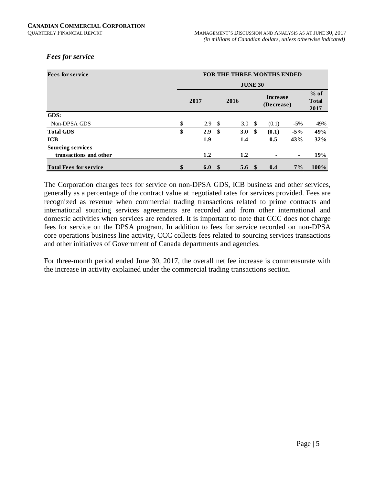#### *Fees for service*

| <b>Fees for service</b>       | <b>FOR THE THREE MONTHS ENDED</b> |              |                |      |                               |                |                                |  |  |  |  |  |  |
|-------------------------------|-----------------------------------|--------------|----------------|------|-------------------------------|----------------|--------------------------------|--|--|--|--|--|--|
|                               |                                   |              | <b>JUNE 30</b> |      |                               |                |                                |  |  |  |  |  |  |
|                               | 2017                              |              | 2016           |      | <b>Increase</b><br>(Decrease) |                | $%$ of<br><b>Total</b><br>2017 |  |  |  |  |  |  |
| GDS:                          |                                   |              |                |      |                               |                |                                |  |  |  |  |  |  |
| Non-DPSA GDS                  | \$<br>2.9                         | - \$         | 3.0            | - \$ | (0.1)                         | $-5\%$         | 49%                            |  |  |  |  |  |  |
| <b>Total GDS</b>              | \$<br>2.9                         | -\$          | 3.0            | \$   | (0.1)                         | $-5\%$         | 49%                            |  |  |  |  |  |  |
| <b>ICB</b>                    | 1.9                               |              | 1.4            |      | 0.5                           | 43%            | 32%                            |  |  |  |  |  |  |
| <b>Sourcing services</b>      |                                   |              |                |      |                               |                |                                |  |  |  |  |  |  |
| transactions and other        | 1.2                               |              | 1.2            |      |                               | $\blacksquare$ | 19%                            |  |  |  |  |  |  |
| <b>Total Fees for service</b> | \$<br>6.0                         | $\mathbf{s}$ | 5.6            | -SS  | 0.4                           | $7\%$          | $100\%$                        |  |  |  |  |  |  |

The Corporation charges fees for service on non-DPSA GDS, ICB business and other services, generally as a percentage of the contract value at negotiated rates for services provided. Fees are recognized as revenue when commercial trading transactions related to prime contracts and international sourcing services agreements are recorded and from other international and domestic activities when services are rendered. It is important to note that CCC does not charge fees for service on the DPSA program. In addition to fees for service recorded on non-DPSA core operations business line activity, CCC collects fees related to sourcing services transactions and other initiatives of Government of Canada departments and agencies.

For three-month period ended June 30, 2017, the overall net fee increase is commensurate with the increase in activity explained under the commercial trading transactions section.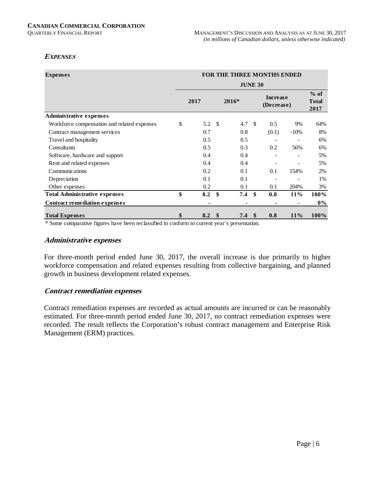#### **EXPENSES**

| <b>Expenses</b>                             | <b>FOR THE THREE MONTHS ENDED</b> |      |                           |                |               |                               |                                |       |  |  |  |  |  |  |
|---------------------------------------------|-----------------------------------|------|---------------------------|----------------|---------------|-------------------------------|--------------------------------|-------|--|--|--|--|--|--|
|                                             |                                   |      |                           | <b>JUNE 30</b> |               |                               |                                |       |  |  |  |  |  |  |
|                                             |                                   | 2017 |                           | $2016*$        |               | <b>Increase</b><br>(Decrease) | $%$ of<br><b>Total</b><br>2017 |       |  |  |  |  |  |  |
| <b>Administrative expenses</b>              |                                   |      |                           |                |               |                               |                                |       |  |  |  |  |  |  |
| Workforce compensation and related expenses | \$                                | 5.2  | -S                        | 4.7            | $\mathcal{S}$ | 0.5                           | 9%                             | 64%   |  |  |  |  |  |  |
| Contract management services                |                                   | 0.7  |                           | 0.8            |               | (0.1)                         | $-10%$                         | 8%    |  |  |  |  |  |  |
| Travel and hospitality                      |                                   | 0.5  |                           | 0.5            |               |                               |                                | 6%    |  |  |  |  |  |  |
| Consultants                                 |                                   | 0.5  |                           | 0.3            |               | 0.2                           | 56%                            | 6%    |  |  |  |  |  |  |
| Software, hardware and support              |                                   | 0.4  |                           | 0.4            |               |                               |                                | 5%    |  |  |  |  |  |  |
| Rent and related expenses                   |                                   | 0.4  |                           | 0.4            |               |                               |                                | 5%    |  |  |  |  |  |  |
| Communications                              |                                   | 0.2  |                           | 0.1            |               | 0.1                           | 154%                           | 2%    |  |  |  |  |  |  |
| Depreciation                                |                                   | 0.1  |                           | 0.1            |               |                               |                                | 1%    |  |  |  |  |  |  |
| Other expenses                              |                                   | 0.2  |                           | 0.1            |               | 0.1                           | 204%                           | 3%    |  |  |  |  |  |  |
| <b>Total Administrative expenses</b>        | \$                                | 8.2  | \$                        | 7.4            | $\mathbf{s}$  | 0.8                           | 11%                            | 100%  |  |  |  |  |  |  |
| <b>Contract remediation expenses</b>        |                                   |      |                           |                |               |                               |                                | $0\%$ |  |  |  |  |  |  |
| <b>Total Expenses</b>                       | \$                                | 8.2  | $\boldsymbol{\mathsf{s}}$ | 7.4            | \$.           | 0.8                           | 11%                            | 100%  |  |  |  |  |  |  |

\* Some comparative figures have been reclassified to conform to current year's presentation.

#### **Administrative expenses**

For three-month period ended June 30, 2017, the overall increase is due primarily to higher workforce compensation and related expenses resulting from collective bargaining, and planned growth in business development related expenses.

#### **Contract remediation expenses**

Contract remediation expenses are recorded as actual amounts are incurred or can be reasonably estimated. For three-month period ended June 30, 2017, no contract remediation expenses were recorded. The result reflects the Corporation's robust contract management and Enterprise Risk Management (ERM) practices.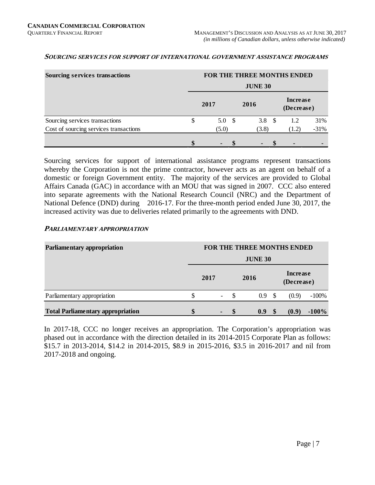| <b>Sourcing services transactions</b>  | FOR THE THREE MONTHS ENDED |                |                |  |                        |        |  |  |  |  |  |  |
|----------------------------------------|----------------------------|----------------|----------------|--|------------------------|--------|--|--|--|--|--|--|
|                                        |                            | <b>JUNE 30</b> |                |  |                        |        |  |  |  |  |  |  |
|                                        | 2017                       |                | 2016           |  | Increase<br>(Decrease) |        |  |  |  |  |  |  |
| Sourcing services transactions         | 5.0 <sup>5</sup>           |                | 3.8 $\sqrt{5}$ |  | 1.2                    | 31%    |  |  |  |  |  |  |
| Cost of sourcing services transactions | (5.0)                      |                | (3.8)          |  | (1.2)                  | $-31%$ |  |  |  |  |  |  |
|                                        |                            |                |                |  | $\blacksquare$         |        |  |  |  |  |  |  |

#### **SOURCING SERVICES FOR SUPPORT OF INTERNATIONAL GOVERNMENT ASSISTANCE PROGRAMS**

Sourcing services for support of international assistance programs represent transactions whereby the Corporation is not the prime contractor, however acts as an agent on behalf of a domestic or foreign Government entity. The majority of the services are provided to Global Affairs Canada (GAC) in accordance with an MOU that was signed in 2007. CCC also entered into separate agreements with the National Research Council (NRC) and the Department of National Defence (DND) during 2016-17. For the three-month period ended June 30, 2017, the increased activity was due to deliveries related primarily to the agreements with DND.

#### **PARLIAMENTARY APPROPRIATION**

| Parliamentary appropriation              | FOR THE THREE MONTHS ENDED |                |                          |   |      |               |                               |         |  |  |  |
|------------------------------------------|----------------------------|----------------|--------------------------|---|------|---------------|-------------------------------|---------|--|--|--|
|                                          |                            | <b>JUNE 30</b> |                          |   |      |               |                               |         |  |  |  |
|                                          |                            | 2017           |                          |   | 2016 |               | <b>Increase</b><br>(Decrease) |         |  |  |  |
| Parliamentary appropriation              |                            |                | $\overline{\phantom{a}}$ |   | 0.9  | - \$          | (0.9)                         | $-100%$ |  |  |  |
| <b>Total Parliamentary appropriation</b> |                            |                | $\blacksquare$           | S | 0.9  | <sup>\$</sup> | (0.9)                         | $-100%$ |  |  |  |

In 2017-18, CCC no longer receives an appropriation. The Corporation's appropriation was phased out in accordance with the direction detailed in its 2014-2015 Corporate Plan as follows: \$15.7 in 2013-2014, \$14.2 in 2014-2015, \$8.9 in 2015-2016, \$3.5 in 2016-2017 and nil from 2017-2018 and ongoing.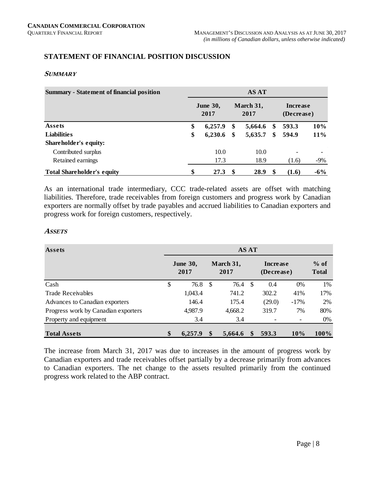#### **STATEMENT OF FINANCIAL POSITION DISCUSSION**

#### **SUMMARY**

| <b>Summary - Statement of financial position</b> | <b>AS AT</b> |                         |                               |         |    |       |        |  |  |  |  |  |  |
|--------------------------------------------------|--------------|-------------------------|-------------------------------|---------|----|-------|--------|--|--|--|--|--|--|
|                                                  |              | <b>June 30,</b><br>2017 | <b>Increase</b><br>(Decrease) |         |    |       |        |  |  |  |  |  |  |
| Assets                                           |              | 6,257.9                 | \$                            | 5,664.6 | \$ | 593.3 | 10%    |  |  |  |  |  |  |
| <b>Liabilities</b>                               | \$           | 6,230.6                 | \$                            | 5,635.7 | \$ | 594.9 | $11\%$ |  |  |  |  |  |  |
| Shareholder's equity:                            |              |                         |                               |         |    |       |        |  |  |  |  |  |  |
| Contributed surplus                              |              | 10.0                    |                               | 10.0    |    | -     |        |  |  |  |  |  |  |
| Retained earnings                                |              | 17.3                    |                               | 18.9    |    | (1.6) | $-9%$  |  |  |  |  |  |  |
| <b>Total Shareholder's equity</b>                | \$           | 27.3                    | -\$                           | 28.9    | S  | (1.6) | $-6\%$ |  |  |  |  |  |  |

As an international trade intermediary, CCC trade-related assets are offset with matching liabilities. Therefore, trade receivables from foreign customers and progress work by Canadian exporters are normally offset by trade payables and accrued liabilities to Canadian exporters and progress work for foreign customers, respectively.

#### **ASSETS**

| <b>Assets</b>                       | <b>AS AT</b> |                         |    |                   |    |                               |                          |                        |  |  |  |
|-------------------------------------|--------------|-------------------------|----|-------------------|----|-------------------------------|--------------------------|------------------------|--|--|--|
|                                     |              | <b>June 30,</b><br>2017 |    | March 31,<br>2017 |    | <b>Increase</b><br>(Decrease) |                          | $%$ of<br><b>Total</b> |  |  |  |
| Cash                                | \$           | 76.8                    | -S | 76.4              | -S | 0.4                           | $0\%$                    | 1%                     |  |  |  |
| <b>Trade Receivables</b>            |              | 1,043.4                 |    | 741.2             |    | 302.2                         | 41%                      | 17%                    |  |  |  |
| Advances to Canadian exporters      |              | 146.4                   |    | 175.4             |    | (29.0)                        | $-17%$                   | 2%                     |  |  |  |
| Progress work by Canadian exporters |              | 4,987.9                 |    | 4,668.2           |    | 319.7                         | 7%                       | 80%                    |  |  |  |
| Property and equipment              |              | 3.4                     |    | 3.4               |    |                               | $\overline{\phantom{a}}$ | $0\%$                  |  |  |  |
| <b>Total Assets</b>                 | \$           | 6,257.9                 |    | 5,664.6           |    | 593.3                         | 10%                      | 100%                   |  |  |  |

The increase from March 31, 2017 was due to increases in the amount of progress work by Canadian exporters and trade receivables offset partially by a decrease primarily from advances to Canadian exporters. The net change to the assets resulted primarily from the continued progress work related to the ABP contract.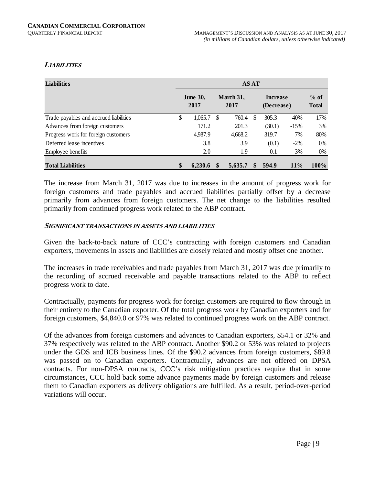#### **LIABILITIES**

| <b>Liabilities</b>                     | <b>AS AT</b> |                         |                   |         |   |                               |        |                        |  |  |  |  |  |
|----------------------------------------|--------------|-------------------------|-------------------|---------|---|-------------------------------|--------|------------------------|--|--|--|--|--|
|                                        |              | <b>June 30,</b><br>2017 | March 31,<br>2017 |         |   | <b>Increase</b><br>(Decrease) |        | $%$ of<br><b>Total</b> |  |  |  |  |  |
| Trade payables and accrued liabilities | \$           | 1,065.7                 | \$.               | 760.4   | S | 305.3                         | 40%    | 17%                    |  |  |  |  |  |
| Advances from foreign customers        |              | 171.2                   |                   | 201.3   |   | (30.1)                        | $-15%$ | 3%                     |  |  |  |  |  |
| Progress work for foreign customers    |              | 4,987.9                 |                   | 4,668.2 |   | 319.7                         | 7%     | 80%                    |  |  |  |  |  |
| Deferred lease incentives              |              | 3.8                     |                   | 3.9     |   | (0.1)                         | $-2\%$ | $0\%$                  |  |  |  |  |  |
| Employee benefits                      |              | 2.0                     |                   | 1.9     |   | 0.1                           | 3%     | $0\%$                  |  |  |  |  |  |
| <b>Total Liabilities</b>               | \$           | 6.230.6                 | S                 | 5.635.7 | S | 594.9                         | 11%    | $100\%$                |  |  |  |  |  |

The increase from March 31, 2017 was due to increases in the amount of progress work for foreign customers and trade payables and accrued liabilities partially offset by a decrease primarily from advances from foreign customers. The net change to the liabilities resulted primarily from continued progress work related to the ABP contract.

#### **SIGNIFICANT TRANSACTIONS IN ASSETS AND LIABILITIES**

Given the back-to-back nature of CCC's contracting with foreign customers and Canadian exporters, movements in assets and liabilities are closely related and mostly offset one another.

The increases in trade receivables and trade payables from March 31, 2017 was due primarily to the recording of accrued receivable and payable transactions related to the ABP to reflect progress work to date.

Contractually, payments for progress work for foreign customers are required to flow through in their entirety to the Canadian exporter. Of the total progress work by Canadian exporters and for foreign customers, \$4,840.0 or 97% was related to continued progress work on the ABP contract.

Of the advances from foreign customers and advances to Canadian exporters, \$54.1 or 32% and 37% respectively was related to the ABP contract. Another \$90.2 or 53% was related to projects under the GDS and ICB business lines. Of the \$90.2 advances from foreign customers, \$89.8 was passed on to Canadian exporters. Contractually, advances are not offered on DPSA contracts. For non-DPSA contracts, CCC's risk mitigation practices require that in some circumstances, CCC hold back some advance payments made by foreign customers and release them to Canadian exporters as delivery obligations are fulfilled. As a result, period-over-period variations will occur.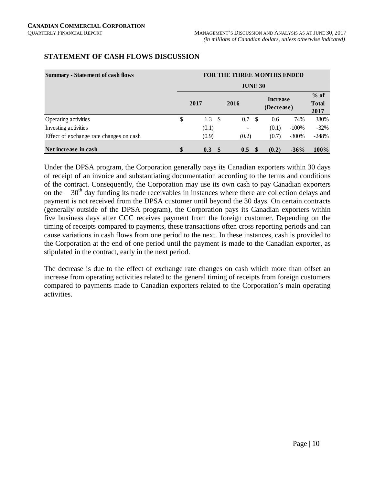| <b>Summary - Statement of cash flows</b> | <b>FOR THE THREE MONTHS ENDED</b> |       |      |       |                               |       |                                |         |  |  |  |  |  |  |
|------------------------------------------|-----------------------------------|-------|------|-------|-------------------------------|-------|--------------------------------|---------|--|--|--|--|--|--|
|                                          |                                   |       |      |       |                               |       |                                |         |  |  |  |  |  |  |
|                                          |                                   | 2017  | 2016 |       | <b>Increase</b><br>(Decrease) |       | $%$ of<br><b>Total</b><br>2017 |         |  |  |  |  |  |  |
| Operating activities                     | \$                                | 1.3   | - \$ | 0.7   | - \$                          | 0.6   | 74%                            | 380%    |  |  |  |  |  |  |
| Investing activities                     |                                   | (0.1) |      |       |                               | (0.1) | $-100%$                        | $-32\%$ |  |  |  |  |  |  |
| Effect of exchange rate changes on cash  |                                   | (0.9) |      | (0.2) |                               | (0.7) | $-300%$                        | $-248%$ |  |  |  |  |  |  |
| Net increase in cash                     | \$                                | 0.3   | -S   | 0.5   |                               | (0.2) | $-36%$                         | 100%    |  |  |  |  |  |  |

#### **STATEMENT OF CASH FLOWS DISCUSSION**

Under the DPSA program, the Corporation generally pays its Canadian exporters within 30 days of receipt of an invoice and substantiating documentation according to the terms and conditions of the contract. Consequently, the Corporation may use its own cash to pay Canadian exporters on the  $30<sup>th</sup>$  day funding its trade receivables in instances where there are collection delays and payment is not received from the DPSA customer until beyond the 30 days. On certain contracts (generally outside of the DPSA program), the Corporation pays its Canadian exporters within five business days after CCC receives payment from the foreign customer. Depending on the timing of receipts compared to payments, these transactions often cross reporting periods and can cause variations in cash flows from one period to the next. In these instances, cash is provided to the Corporation at the end of one period until the payment is made to the Canadian exporter, as stipulated in the contract, early in the next period.

The decrease is due to the effect of exchange rate changes on cash which more than offset an increase from operating activities related to the general timing of receipts from foreign customers compared to payments made to Canadian exporters related to the Corporation's main operating activities.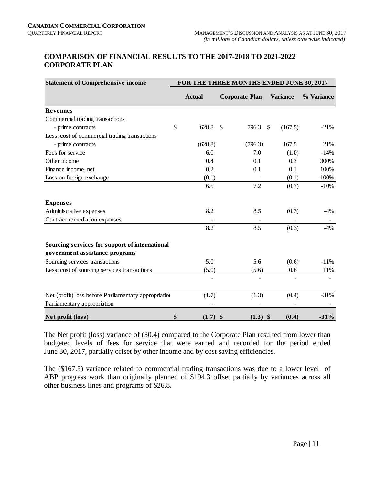#### **COMPARISON OF FINANCIAL RESULTS TO THE 2017-2018 TO 2021-2022 CORPORATE PLAN**

| <b>Statement of Comprehensive income</b>                                         | FOR THE THREE MONTHS ENDED JUNE 30, 2017 |               |               |                       |    |                 |            |  |  |  |  |
|----------------------------------------------------------------------------------|------------------------------------------|---------------|---------------|-----------------------|----|-----------------|------------|--|--|--|--|
|                                                                                  |                                          | <b>Actual</b> |               | <b>Corporate Plan</b> |    | <b>Variance</b> | % Variance |  |  |  |  |
| <b>Revenues</b>                                                                  |                                          |               |               |                       |    |                 |            |  |  |  |  |
| Commercial trading transactions                                                  |                                          |               |               |                       |    |                 |            |  |  |  |  |
| - prime contracts                                                                | \$                                       | 628.8         | <sup>\$</sup> | 796.3                 | \$ | (167.5)         | $-21%$     |  |  |  |  |
| Less: cost of commercial trading transactions                                    |                                          |               |               |                       |    |                 |            |  |  |  |  |
| - prime contracts                                                                |                                          | (628.8)       |               | (796.3)               |    | 167.5           | 21%        |  |  |  |  |
| Fees for service                                                                 |                                          | 6.0           |               | 7.0                   |    | (1.0)           | $-14%$     |  |  |  |  |
| Other income                                                                     |                                          | 0.4           |               | 0.1                   |    | 0.3             | 300%       |  |  |  |  |
| Finance income, net                                                              |                                          | 0.2           |               | 0.1                   |    | 0.1             | 100%       |  |  |  |  |
| Loss on foreign exchange                                                         |                                          | (0.1)         |               |                       |    | (0.1)           | $-100%$    |  |  |  |  |
|                                                                                  |                                          | 6.5           |               | 7.2                   |    | (0.7)           | $-10%$     |  |  |  |  |
| <b>Expenses</b>                                                                  |                                          |               |               |                       |    |                 |            |  |  |  |  |
| Administrative expenses                                                          |                                          | 8.2           |               | 8.5                   |    | (0.3)           | $-4\%$     |  |  |  |  |
| Contract remediation expenses                                                    |                                          |               |               |                       |    |                 |            |  |  |  |  |
|                                                                                  |                                          | 8.2           |               | 8.5                   |    | (0.3)           | $-4%$      |  |  |  |  |
| Sourcing services for support of international<br>government assistance programs |                                          |               |               |                       |    |                 |            |  |  |  |  |
| Sourcing services transactions                                                   |                                          | 5.0           |               | 5.6                   |    | (0.6)           | $-11%$     |  |  |  |  |
| Less: cost of sourcing services transactions                                     |                                          | (5.0)         |               | (5.6)                 |    | 0.6             | 11%        |  |  |  |  |
|                                                                                  |                                          |               |               |                       |    |                 |            |  |  |  |  |
| Net (profit) loss before Parliamentary appropriation                             |                                          | (1.7)         |               | (1.3)                 |    | (0.4)           | $-31%$     |  |  |  |  |
| Parliamentary appropriation                                                      |                                          |               |               |                       |    |                 |            |  |  |  |  |
| Net profit (loss)                                                                | \$                                       | $(1.7)$ \$    |               | $(1.3)$ \$            |    | (0.4)           | $-31%$     |  |  |  |  |

The Net profit (loss) variance of (\$0.4) compared to the Corporate Plan resulted from lower than budgeted levels of fees for service that were earned and recorded for the period ended June 30, 2017, partially offset by other income and by cost saving efficiencies.

The (\$167.5) variance related to commercial trading transactions was due to a lower level of ABP progress work than originally planned of \$194.3 offset partially by variances across all other business lines and programs of \$26.8.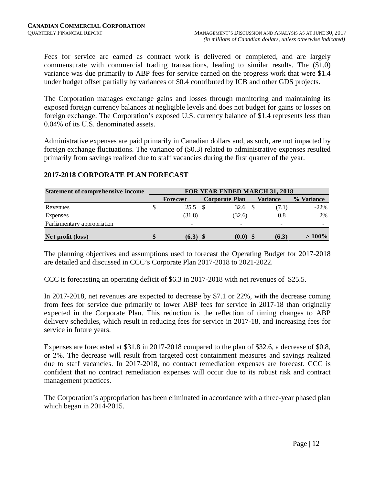Fees for service are earned as contract work is delivered or completed, and are largely commensurate with commercial trading transactions, leading to similar results. The (\$1.0) variance was due primarily to ABP fees for service earned on the progress work that were \$1.4 under budget offset partially by variances of \$0.4 contributed by ICB and other GDS projects.

The Corporation manages exchange gains and losses through monitoring and maintaining its exposed foreign currency balances at negligible levels and does not budget for gains or losses on foreign exchange. The Corporation's exposed U.S. currency balance of \$1.4 represents less than 0.04% of its U.S. denominated assets.

Administrative expenses are paid primarily in Canadian dollars and, as such, are not impacted by foreign exchange fluctuations. The variance of (\$0.3) related to administrative expenses resulted primarily from savings realized due to staff vacancies during the first quarter of the year.

# **2017-2018 CORPORATE PLAN FORECAST**

| <b>Statement of comprehensive income</b> | <b>FOR YEAR ENDED MARCH 31, 2018</b> |          |  |                       |  |          |            |
|------------------------------------------|--------------------------------------|----------|--|-----------------------|--|----------|------------|
|                                          |                                      | Forecast |  | <b>Corporate Plan</b> |  | Variance | % Variance |
| Revenues                                 |                                      | 25.5     |  | 32.6                  |  | (7.1)    | $-22\%$    |
| Expenses                                 |                                      | (31.8)   |  | (32.6)                |  | 0.8      | 2%         |
| Parliamentary appropriation              |                                      |          |  |                       |  |          |            |
| Net profit (loss)                        | ъĐ                                   | (6.3)    |  | (0.0)                 |  | (6.3)    | $>100\%$   |

The planning objectives and assumptions used to forecast the Operating Budget for 2017-2018 are detailed and discussed in CCC's Corporate Plan 2017-2018 to 2021-2022.

CCC is forecasting an operating deficit of \$6.3 in 2017-2018 with net revenues of \$25.5.

In 2017-2018, net revenues are expected to decrease by \$7.1 or 22%, with the decrease coming from fees for service due primarily to lower ABP fees for service in 2017-18 than originally expected in the Corporate Plan. This reduction is the reflection of timing changes to ABP delivery schedules, which result in reducing fees for service in 2017-18, and increasing fees for service in future years.

Expenses are forecasted at \$31.8 in 2017-2018 compared to the plan of \$32.6, a decrease of \$0.8, or 2%. The decrease will result from targeted cost containment measures and savings realized due to staff vacancies. In 2017-2018, no contract remediation expenses are forecast. CCC is confident that no contract remediation expenses will occur due to its robust risk and contract management practices.

The Corporation's appropriation has been eliminated in accordance with a three-year phased plan which began in 2014-2015.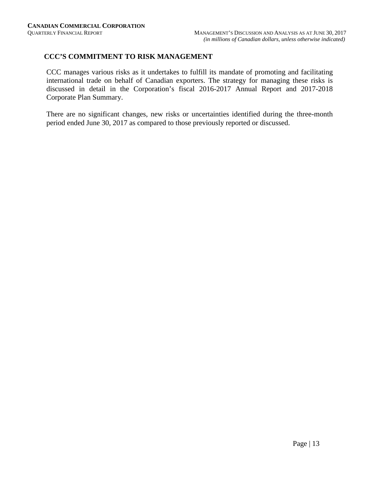#### **CCC'S COMMITMENT TO RISK MANAGEMENT**

CCC manages various risks as it undertakes to fulfill its mandate of promoting and facilitating international trade on behalf of Canadian exporters. The strategy for managing these risks is discussed in detail in the Corporation's fiscal 2016-2017 Annual Report and 2017-2018 Corporate Plan Summary.

There are no significant changes, new risks or uncertainties identified during the three-month period ended June 30, 2017 as compared to those previously reported or discussed.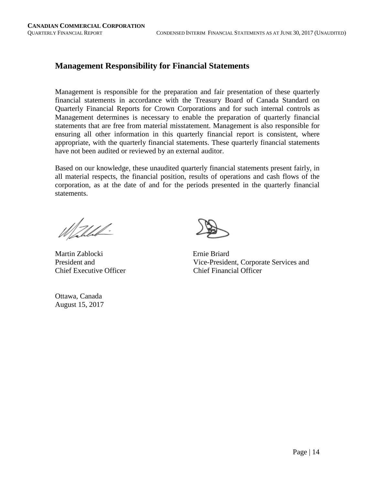## **Management Responsibility for Financial Statements**

Management is responsible for the preparation and fair presentation of these quarterly financial statements in accordance with the Treasury Board of Canada Standard on Quarterly Financial Reports for Crown Corporations and for such internal controls as Management determines is necessary to enable the preparation of quarterly financial statements that are free from material misstatement. Management is also responsible for ensuring all other information in this quarterly financial report is consistent, where appropriate, with the quarterly financial statements. These quarterly financial statements have not been audited or reviewed by an external auditor.

Based on our knowledge, these unaudited quarterly financial statements present fairly, in all material respects, the financial position, results of operations and cash flows of the corporation, as at the date of and for the periods presented in the quarterly financial statements.

<u> Mall</u>

Martin Zablocki Ernie Briard Chief Executive Officer Chief Financial Officer

Ottawa, Canada August 15, 2017



President and Vice-President, Corporate Services and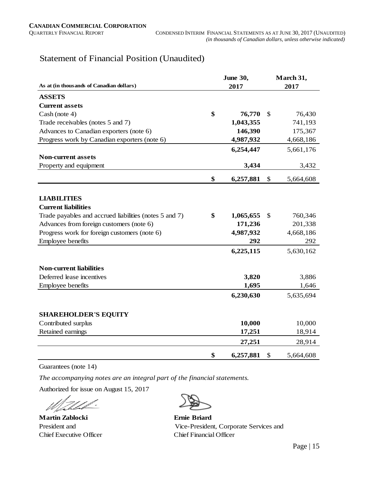## Statement of Financial Position (Unaudited)

|                                                        | <b>June 30,</b> |           |               | March 31, |  |  |
|--------------------------------------------------------|-----------------|-----------|---------------|-----------|--|--|
| As at (in thousands of Canadian dollars)               | 2017            |           | 2017          |           |  |  |
| <b>ASSETS</b>                                          |                 |           |               |           |  |  |
| <b>Current assets</b>                                  |                 |           |               |           |  |  |
| Cash (note 4)                                          | \$              | 76,770    | \$            | 76,430    |  |  |
| Trade receivables (notes 5 and 7)                      |                 | 1,043,355 |               | 741,193   |  |  |
| Advances to Canadian exporters (note 6)                |                 | 146,390   |               | 175,367   |  |  |
| Progress work by Canadian exporters (note 6)           |                 | 4,987,932 |               | 4,668,186 |  |  |
|                                                        |                 | 6,254,447 |               | 5,661,176 |  |  |
| <b>Non-current assets</b>                              |                 |           |               |           |  |  |
| Property and equipment                                 |                 | 3,434     |               | 3,432     |  |  |
|                                                        | \$              | 6,257,881 | \$            | 5,664,608 |  |  |
|                                                        |                 |           |               |           |  |  |
| <b>LIABILITIES</b>                                     |                 |           |               |           |  |  |
| <b>Current liabilities</b>                             |                 |           |               |           |  |  |
| Trade payables and accrued liabilities (notes 5 and 7) | \$              | 1,065,655 | <sup>\$</sup> | 760,346   |  |  |
| Advances from foreign customers (note 6)               |                 | 171,236   |               | 201,338   |  |  |
| Progress work for foreign customers (note 6)           |                 | 4,987,932 |               | 4,668,186 |  |  |
| Employee benefits                                      |                 | 292       |               | 292       |  |  |
|                                                        |                 | 6,225,115 |               | 5,630,162 |  |  |
| <b>Non-current liabilities</b>                         |                 |           |               |           |  |  |
| Deferred lease incentives                              |                 | 3,820     |               | 3,886     |  |  |
| Employee benefits                                      |                 | 1,695     |               | 1,646     |  |  |
|                                                        |                 | 6,230,630 |               | 5,635,694 |  |  |
|                                                        |                 |           |               |           |  |  |
| <b>SHAREHOLDER'S EQUITY</b>                            |                 |           |               |           |  |  |
| Contributed surplus                                    |                 | 10,000    |               | 10,000    |  |  |
| Retained earnings                                      |                 | 17,251    |               | 18,914    |  |  |
|                                                        |                 | 27,251    |               | 28,914    |  |  |
|                                                        | \$              | 6,257,881 | \$            | 5,664,608 |  |  |

Guarantees (note 14)

*The accompanying notes are an integral part of the financial statements.*

Authorized for issue on August 15, 2017

Þ

**Martin Zablocki Ernie Briard**

President and Vice-President, Corporate Services and Chief Executive Officer Chief Financial Officer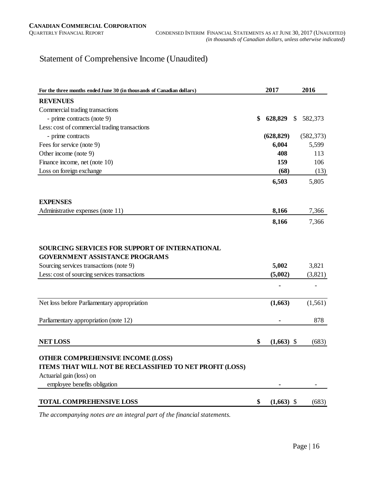## Statement of Comprehensive Income (Unaudited)

| For the three months ended June 30 (in thousands of Canadian dollars)                                                                                                                     |    | 2017             |               | 2016             |
|-------------------------------------------------------------------------------------------------------------------------------------------------------------------------------------------|----|------------------|---------------|------------------|
| <b>REVENUES</b>                                                                                                                                                                           |    |                  |               |                  |
| Commercial trading transactions                                                                                                                                                           |    |                  |               |                  |
| - prime contracts (note 9)                                                                                                                                                                | \$ | 628,829          | <sup>\$</sup> | 582,373          |
| Less: cost of commercial trading transactions                                                                                                                                             |    |                  |               |                  |
| - prime contracts                                                                                                                                                                         |    | (628, 829)       |               | (582, 373)       |
| Fees for service (note 9)                                                                                                                                                                 |    | 6,004            |               | 5,599            |
| Other income (note 9)                                                                                                                                                                     |    | 408              |               | 113              |
| Finance income, net (note 10)                                                                                                                                                             |    | 159              |               | 106              |
| Loss on foreign exchange                                                                                                                                                                  |    | (68)             |               | (13)             |
|                                                                                                                                                                                           |    | 6,503            |               | 5,805            |
| <b>EXPENSES</b>                                                                                                                                                                           |    |                  |               |                  |
| Administrative expenses (note 11)                                                                                                                                                         |    | 8,166            |               | 7,366            |
|                                                                                                                                                                                           |    | 8,166            |               | 7,366            |
| <b>SOURCING SERVICES FOR SUPPORT OF INTERNATIONAL</b><br><b>GOVERNMENT ASSISTANCE PROGRAMS</b><br>Sourcing services transactions (note 9)<br>Less: cost of sourcing services transactions |    | 5,002<br>(5,002) |               | 3,821<br>(3,821) |
| Net loss before Parliamentary appropriation                                                                                                                                               |    | (1,663)          |               | (1, 561)         |
| Parliamentary appropriation (note 12)                                                                                                                                                     |    |                  |               | 878              |
| <b>NET LOSS</b>                                                                                                                                                                           | \$ | $(1,663)$ \$     |               | (683)            |
| <b>OTHER COMPREHENSIVE INCOME (LOSS)</b><br>ITEMS THAT WILL NOT BE RECLASSIFIED TO NET PROFIT (LOSS)<br>Actuarial gain (loss) on<br>employee benefits obligation                          |    |                  |               |                  |
| <b>TOTAL COMPREHENSIVE LOSS</b>                                                                                                                                                           | \$ | $(1,663)$ \$     |               | (683)            |

*The accompanying notes are an integral part of the financial statements.*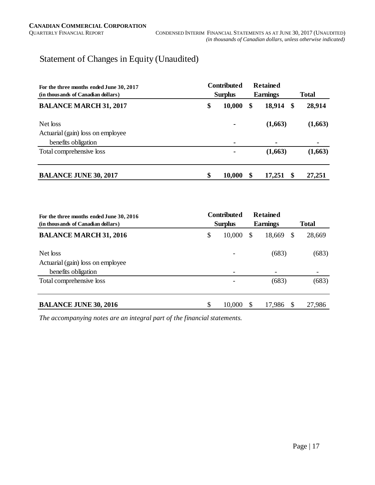## Statement of Changes in Equity (Unaudited)

| For the three months ended June 30, 2017 | <b>Contributed</b> | <b>Retained</b> |              |         |  |
|------------------------------------------|--------------------|-----------------|--------------|---------|--|
| (in thousands of Canadian dollars)       | <b>Surplus</b>     | <b>Earnings</b> | <b>Total</b> |         |  |
| <b>BALANCE MARCH 31, 2017</b>            | \$<br>10,000       | 18,914<br>\$    | - \$         | 28,914  |  |
| Net loss                                 |                    | (1,663)         |              | (1,663) |  |
| Actuarial (gain) loss on employee        |                    |                 |              |         |  |
| benefits obligation                      | ۰                  | ۰               |              |         |  |
| Total comprehensive loss                 | ۰                  | (1,663)         |              | (1,663) |  |
| <b>BALANCE JUNE 30, 2017</b>             | \$<br>10,000       | \$<br>17,251    |              | 27,251  |  |

| For the three months ended June 30, 2016<br>(in thousands of Canadian dollars) | <b>Contributed</b><br><b>Surplus</b> |             | <b>Total</b> |  |
|--------------------------------------------------------------------------------|--------------------------------------|-------------|--------------|--|
| <b>BALANCE MARCH 31, 2016</b>                                                  | \$<br>10,000                         | 18,669<br>S | 28,669<br>S  |  |
| Net loss<br>Actuarial (gain) loss on employee                                  |                                      | (683)       | (683)        |  |
| benefits obligation                                                            |                                      |             |              |  |
| Total comprehensive loss                                                       |                                      | (683)       | (683)        |  |
| <b>BALANCE JUNE 30, 2016</b>                                                   | \$<br>10,000                         | 17,986      | 27,986       |  |

*The accompanying notes are an integral part of the financial statements.*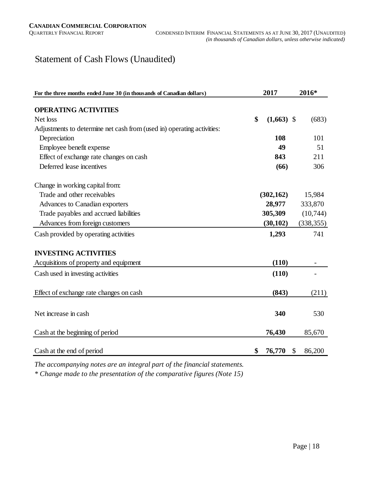## Statement of Cash Flows (Unaudited)

| For the three months ended June 30 (in thousands of Canadian dollars)  |                    | 2016*        |  |
|------------------------------------------------------------------------|--------------------|--------------|--|
|                                                                        |                    |              |  |
| <b>OPERATING ACTIVITIES</b>                                            |                    |              |  |
| Net loss                                                               | \$<br>$(1,663)$ \$ | (683)        |  |
| Adjustments to determine net cash from (used in) operating activities: |                    |              |  |
| Depreciation                                                           | 108                | 101          |  |
| Employee benefit expense                                               | 49                 | 51           |  |
| Effect of exchange rate changes on cash                                | 843                | 211          |  |
| Deferred lease incentives                                              | (66)               | 306          |  |
| Change in working capital from:                                        |                    |              |  |
| Trade and other receivables                                            | (302, 162)         | 15,984       |  |
| Advances to Canadian exporters                                         | 28,977             | 333,870      |  |
| Trade payables and accrued liabilities                                 | 305,309            | (10,744)     |  |
| Advances from foreign customers                                        | (30, 102)          | (338, 355)   |  |
| Cash provided by operating activities                                  | 1,293              | 741          |  |
| <b>INVESTING ACTIVITIES</b>                                            |                    |              |  |
| Acquisitions of property and equipment                                 | (110)              |              |  |
| Cash used in investing activities                                      | (110)              |              |  |
| Effect of exchange rate changes on cash                                | (843)              | (211)        |  |
|                                                                        |                    |              |  |
| Net increase in cash                                                   | 340                | 530          |  |
| Cash at the beginning of period                                        | 76,430             | 85,670       |  |
| Cash at the end of period                                              | \$<br>76,770       | \$<br>86,200 |  |

*The accompanying notes are an integral part of the financial statements.*

*\* Change made to the presentation of the comparative figures (Note 15)*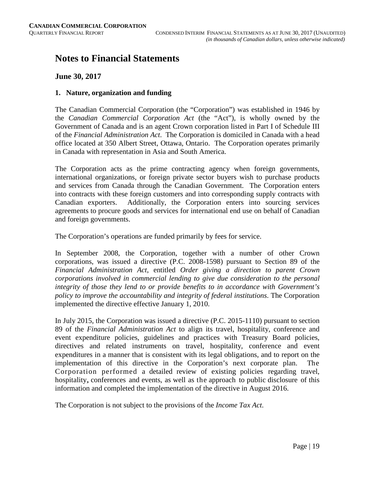## **Notes to Financial Statements**

#### **June 30, 2017**

#### **1. Nature, organization and funding**

The Canadian Commercial Corporation (the "Corporation") was established in 1946 by the *Canadian Commercial Corporation Act* (the "Act"), is wholly owned by the Government of Canada and is an agent Crown corporation listed in Part I of Schedule III of the *Financial Administration Act*. The Corporation is domiciled in Canada with a head office located at 350 Albert Street, Ottawa, Ontario. The Corporation operates primarily in Canada with representation in Asia and South America.

The Corporation acts as the prime contracting agency when foreign governments, international organizations, or foreign private sector buyers wish to purchase products and services from Canada through the Canadian Government. The Corporation enters into contracts with these foreign customers and into corresponding supply contracts with Canadian exporters. Additionally, the Corporation enters into sourcing services agreements to procure goods and services for international end use on behalf of Canadian and foreign governments.

The Corporation's operations are funded primarily by fees for service.

In September 2008, the Corporation, together with a number of other Crown corporations, was issued a directive (P.C. 2008-1598) pursuant to Section 89 of the *Financial Administration Act*, entitled *Order giving a direction to parent Crown corporations involved in commercial lending to give due consideration to the personal integrity of those they lend to or provide benefits to in accordance with Government's policy to improve the accountability and integrity of federal institutions*. The Corporation implemented the directive effective January 1, 2010.

In July 2015, the Corporation was issued a directive (P.C. 2015-1110) pursuant to section 89 of the *Financial Administration Act* to align its travel, hospitality, conference and event expenditure policies, guidelines and practices with Treasury Board policies, directives and related instruments on travel, hospitality, conference and event expenditures in a manner that is consistent with its legal obligations, and to report on the implementation of this directive in the Corporation's next corporate plan. The Corporation performed a detailed review of existing policies regarding travel, hospitality, conferences and events, as well as the approach to public disclosure of this information and completed the implementation of the directive in August 2016.

The Corporation is not subject to the provisions of the *Income Tax Act*.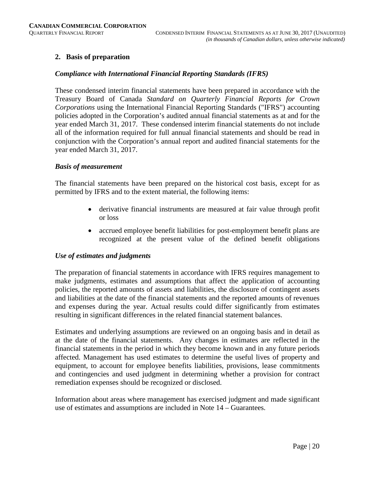#### **2. Basis of preparation**

#### *Compliance with International Financial Reporting Standards (IFRS)*

These condensed interim financial statements have been prepared in accordance with the Treasury Board of Canada *Standard on Quarterly Financial Reports for Crown Corporations* using the International Financial Reporting Standards ("IFRS") accounting policies adopted in the Corporation's audited annual financial statements as at and for the year ended March 31, 2017. These condensed interim financial statements do not include all of the information required for full annual financial statements and should be read in conjunction with the Corporation's annual report and audited financial statements for the year ended March 31, 2017.

#### *Basis of measurement*

The financial statements have been prepared on the historical cost basis, except for as permitted by IFRS and to the extent material, the following items:

- derivative financial instruments are measured at fair value through profit or loss
- accrued employee benefit liabilities for post-employment benefit plans are recognized at the present value of the defined benefit obligations

#### *Use of estimates and judgments*

The preparation of financial statements in accordance with IFRS requires management to make judgments, estimates and assumptions that affect the application of accounting policies, the reported amounts of assets and liabilities, the disclosure of contingent assets and liabilities at the date of the financial statements and the reported amounts of revenues and expenses during the year. Actual results could differ significantly from estimates resulting in significant differences in the related financial statement balances.

Estimates and underlying assumptions are reviewed on an ongoing basis and in detail as at the date of the financial statements. Any changes in estimates are reflected in the financial statements in the period in which they become known and in any future periods affected. Management has used estimates to determine the useful lives of property and equipment, to account for employee benefits liabilities, provisions, lease commitments and contingencies and used judgment in determining whether a provision for contract remediation expenses should be recognized or disclosed.

Information about areas where management has exercised judgment and made significant use of estimates and assumptions are included in Note 14 – Guarantees.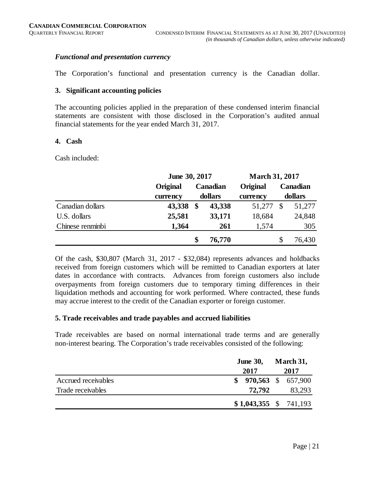#### *Functional and presentation currency*

The Corporation's functional and presentation currency is the Canadian dollar.

#### **3. Significant accounting policies**

The accounting policies applied in the preparation of these condensed interim financial statements are consistent with those disclosed in the Corporation's audited annual financial statements for the year ended March 31, 2017.

#### **4. Cash**

Cash included:

|                  |          | June 30, 2017 |                 |                 | <b>March 31, 2017</b> |         |  |  |
|------------------|----------|---------------|-----------------|-----------------|-----------------------|---------|--|--|
|                  | Original |               | <b>Canadian</b> | <b>Original</b> | <b>Canadian</b>       |         |  |  |
|                  | currency |               | dollars         | currency        |                       | dollars |  |  |
| Canadian dollars | 43,338   | \$            | 43,338          | 51,277          | S                     | 51,277  |  |  |
| U.S. dollars     | 25,581   |               | 33,171          | 18,684          |                       | 24,848  |  |  |
| Chinese renminbi | 1,364    |               | 261             | 1,574           |                       | 305     |  |  |
|                  |          | \$            | 76,770          |                 | S                     | 76,430  |  |  |

Of the cash, \$30,807 (March 31, 2017 - \$32,084) represents advances and holdbacks received from foreign customers which will be remitted to Canadian exporters at later dates in accordance with contracts. Advances from foreign customers also include overpayments from foreign customers due to temporary timing differences in their liquidation methods and accounting for work performed. Where contracted, these funds may accrue interest to the credit of the Canadian exporter or foreign customer.

#### **5. Trade receivables and trade payables and accrued liabilities**

Trade receivables are based on normal international trade terms and are generally non-interest bearing. The Corporation's trade receivables consisted of the following:

|                     | <b>June 30,</b> |                         | March 31, |                       |
|---------------------|-----------------|-------------------------|-----------|-----------------------|
|                     |                 | 2017                    |           | 2017                  |
| Accrued receivables |                 |                         |           | $$970,563$$ \$657,900 |
| Trade receivables   |                 | 72,792                  |           | 83,293                |
|                     |                 | $$1,043,355$ $$741,193$ |           |                       |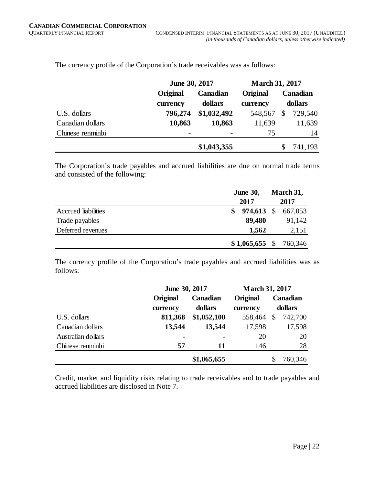|                  | June 30, 2017   |                 | <b>March 31, 2017</b> |                 |  |  |
|------------------|-----------------|-----------------|-----------------------|-----------------|--|--|
|                  | <b>Original</b> | <b>Canadian</b> | Original              | <b>Canadian</b> |  |  |
|                  | currency        | dollars         | currency              | dollars         |  |  |
| U.S. dollars     | 796,274         | \$1,032,492     | 548,567               | 729,540<br>\$   |  |  |
| Canadian dollars | 10,863          | 10,863          | 11,639                | 11,639          |  |  |
| Chinese renminbi | ٠               | -               | 75                    | 14              |  |  |
|                  |                 | \$1,043,355     |                       | 741,193         |  |  |

The currency profile of the Corporation's trade receivables was as follows:

The Corporation's trade payables and accrued liabilities are due on normal trade terms and consisted of the following:

|                     | <b>June 30,</b>         | March 31, |  |
|---------------------|-------------------------|-----------|--|
|                     | 2017                    | 2017      |  |
| Accrued liabilities | $974,613$ \$<br>S.      | 667,053   |  |
| Trade payables      | 89,480                  | 91,142    |  |
| Deferred revenues   | 1,562                   | 2,151     |  |
|                     | $$1,065,655$ $$760,346$ |           |  |

The currency profile of the Corporation's trade payables and accrued liabilities was as follows:

|                    | June 30, 2017   | <b>March 31, 2017</b> |          |    |          |
|--------------------|-----------------|-----------------------|----------|----|----------|
|                    | <b>Original</b> | Canadian              | Original |    | Canadian |
|                    | currency        | dollars               | currency |    | dollars  |
| U.S. dollars       | 811,368         | \$1,052,100           | 558,464  | \$ | 742,700  |
| Canadian dollars   | 13,544          | 13,544                | 17,598   |    | 17,598   |
| Australian dollars | ٠               | ۰                     | 20       |    | 20       |
| Chinese renminbi   | 57              | 11                    | 146      |    | 28       |
|                    |                 | \$1,065,655           |          |    | 760,346  |

Credit, market and liquidity risks relating to trade receivables and to trade payables and accrued liabilities are disclosed in Note 7.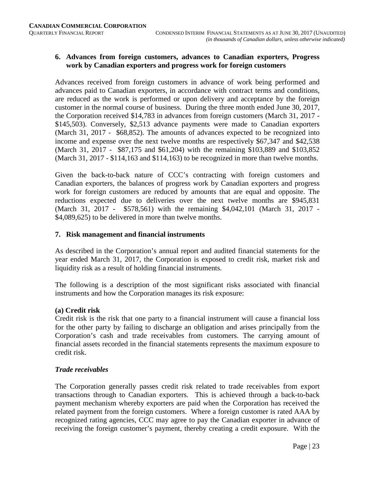#### **6. Advances from foreign customers, advances to Canadian exporters, Progress work by Canadian exporters and progress work for foreign customers**

Advances received from foreign customers in advance of work being performed and advances paid to Canadian exporters, in accordance with contract terms and conditions, are reduced as the work is performed or upon delivery and acceptance by the foreign customer in the normal course of business. During the three month ended June 30, 2017, the Corporation received \$14,783 in advances from foreign customers (March 31, 2017 - \$145,503). Conversely, \$2,513 advance payments were made to Canadian exporters (March 31, 2017 - \$68,852). The amounts of advances expected to be recognized into income and expense over the next twelve months are respectively \$67,347 and \$42,538 (March 31, 2017 - \$87,175 and \$61,204) with the remaining \$103,889 and \$103,852 (March 31, 2017 - \$114,163 and \$114,163) to be recognized in more than twelve months.

Given the back-to-back nature of CCC's contracting with foreign customers and Canadian exporters, the balances of progress work by Canadian exporters and progress work for foreign customers are reduced by amounts that are equal and opposite. The reductions expected due to deliveries over the next twelve months are \$945,831 (March 31, 2017 - \$578,561) with the remaining \$4,042,101 (March 31, 2017 - \$4,089,625) to be delivered in more than twelve months.

#### **7. Risk management and financial instruments**

As described in the Corporation's annual report and audited financial statements for the year ended March 31, 2017, the Corporation is exposed to credit risk, market risk and liquidity risk as a result of holding financial instruments.

The following is a description of the most significant risks associated with financial instruments and how the Corporation manages its risk exposure:

#### **(a) Credit risk**

Credit risk is the risk that one party to a financial instrument will cause a financial loss for the other party by failing to discharge an obligation and arises principally from the Corporation's cash and trade receivables from customers. The carrying amount of financial assets recorded in the financial statements represents the maximum exposure to credit risk.

#### *Trade receivables*

The Corporation generally passes credit risk related to trade receivables from export transactions through to Canadian exporters. This is achieved through a back-to-back payment mechanism whereby exporters are paid when the Corporation has received the related payment from the foreign customers. Where a foreign customer is rated AAA by recognized rating agencies, CCC may agree to pay the Canadian exporter in advance of receiving the foreign customer's payment, thereby creating a credit exposure. With the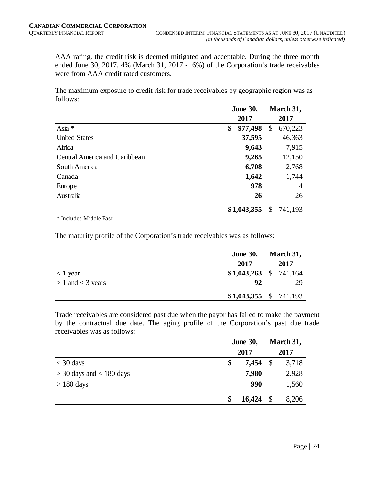AAA rating, the credit risk is deemed mitigated and acceptable. During the three month ended June 30, 2017, 4% (March 31, 2017 - 6%) of the Corporation's trade receivables were from AAA credit rated customers.

The maximum exposure to credit risk for trade receivables by geographic region was as follows:

|                               | <b>June 30,</b> |    | March 31, |
|-------------------------------|-----------------|----|-----------|
|                               | 2017            |    | 2017      |
| Asia *                        | \$<br>977,498   | \$ | 670,223   |
| <b>United States</b>          | 37,595          |    | 46,363    |
| Africa                        | 9,643           |    | 7,915     |
| Central America and Caribbean | 9,265           |    | 12,150    |
| South America                 | 6,708           |    | 2,768     |
| Canada                        | 1,642           |    | 1,744     |
| Europe                        | 978             |    | 4         |
| Australia                     | 26              |    | 26        |
|                               | \$1,043,355     | S  | 741,193   |

\* Includes Middle East

The maturity profile of the Corporation's trade receivables was as follows:

|                       | <b>June 30,</b>         |  | March 31, |
|-----------------------|-------------------------|--|-----------|
|                       | 2017                    |  | 2017      |
| $<$ 1 year            | $$1,043,263$ $$741,164$ |  |           |
| $> 1$ and $<$ 3 years | 92                      |  | 29        |
|                       | $$1,043,355$ $$741,193$ |  |           |

Trade receivables are considered past due when the payor has failed to make the payment by the contractual due date. The aging profile of the Corporation's past due trade receivables was as follows:

|                              | <b>June 30,</b><br>2017 |        | March 31,<br>2017 |       |  |
|------------------------------|-------------------------|--------|-------------------|-------|--|
| $<$ 30 days                  |                         | 7,454  | $\mathcal{S}$     | 3,718 |  |
| $>$ 30 days and $<$ 180 days |                         | 7,980  |                   | 2,928 |  |
| $> 180$ days                 |                         | 990    |                   | 1,560 |  |
|                              | \$                      | 16,424 | $\mathcal{S}$     | 8,206 |  |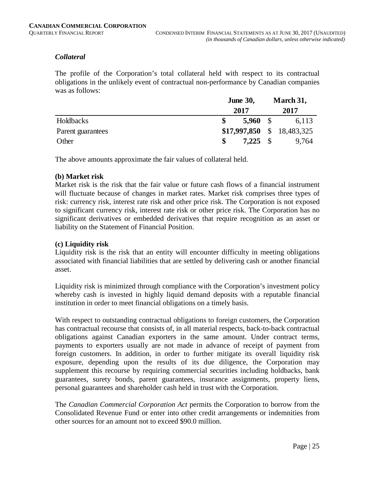#### *Collateral*

The profile of the Corporation's total collateral held with respect to its contractual obligations in the unlikely event of contractual non-performance by Canadian companies was as follows:

|                   | <b>June 30,</b>             |  | March 31, |
|-------------------|-----------------------------|--|-----------|
|                   | 2017                        |  | 2017      |
| Holdbacks         | $5,960$ \$                  |  | 6,113     |
| Parent guarantees | $$17,997,850 \$ 18,483,325$ |  |           |
| Other             | $7,225$ \$                  |  | 9,764     |

The above amounts approximate the fair values of collateral held.

#### **(b) Market risk**

Market risk is the risk that the fair value or future cash flows of a financial instrument will fluctuate because of changes in market rates. Market risk comprises three types of risk: currency risk, interest rate risk and other price risk. The Corporation is not exposed to significant currency risk, interest rate risk or other price risk. The Corporation has no significant derivatives or embedded derivatives that require recognition as an asset or liability on the Statement of Financial Position.

#### **(c) Liquidity risk**

Liquidity risk is the risk that an entity will encounter difficulty in meeting obligations associated with financial liabilities that are settled by delivering cash or another financial asset.

Liquidity risk is minimized through compliance with the Corporation's investment policy whereby cash is invested in highly liquid demand deposits with a reputable financial institution in order to meet financial obligations on a timely basis.

With respect to outstanding contractual obligations to foreign customers, the Corporation has contractual recourse that consists of, in all material respects, back-to-back contractual obligations against Canadian exporters in the same amount. Under contract terms, payments to exporters usually are not made in advance of receipt of payment from foreign customers. In addition, in order to further mitigate its overall liquidity risk exposure, depending upon the results of its due diligence, the Corporation may supplement this recourse by requiring commercial securities including holdbacks, bank guarantees, surety bonds, parent guarantees, insurance assignments, property liens, personal guarantees and shareholder cash held in trust with the Corporation.

The *Canadian Commercial Corporation Act* permits the Corporation to borrow from the Consolidated Revenue Fund or enter into other credit arrangements or indemnities from other sources for an amount not to exceed \$90.0 million.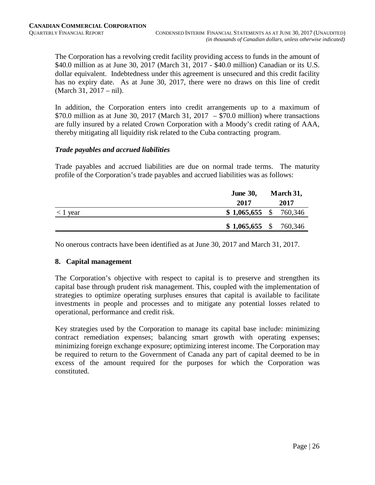The Corporation has a revolving credit facility providing access to funds in the amount of \$40.0 million as at June 30, 2017 (March 31, 2017 - \$40.0 million) Canadian or its U.S. dollar equivalent. Indebtedness under this agreement is unsecured and this credit facility has no expiry date. As at June 30, 2017, there were no draws on this line of credit (March 31, 2017 – nil).

In addition, the Corporation enters into credit arrangements up to a maximum of \$70.0 million as at June 30, 2017 (March 31, 2017 – \$70.0 million) where transactions are fully insured by a related Crown Corporation with a Moody's credit rating of AAA, thereby mitigating all liquidity risk related to the Cuba contracting program.

#### *Trade payables and accrued liabilities*

Trade payables and accrued liabilities are due on normal trade terms. The maturity profile of the Corporation's trade payables and accrued liabilities was as follows:

|               | <b>June 30,</b>         | March 31, |      |
|---------------|-------------------------|-----------|------|
|               | 2017                    |           | 2017 |
| $\leq 1$ year | $$1,065,655$ $$760,346$ |           |      |
|               | $$1,065,655$ $$760,346$ |           |      |

No onerous contracts have been identified as at June 30, 2017 and March 31, 2017.

#### **8. Capital management**

The Corporation's objective with respect to capital is to preserve and strengthen its capital base through prudent risk management. This, coupled with the implementation of strategies to optimize operating surpluses ensures that capital is available to facilitate investments in people and processes and to mitigate any potential losses related to operational, performance and credit risk.

Key strategies used by the Corporation to manage its capital base include: minimizing contract remediation expenses; balancing smart growth with operating expenses; minimizing foreign exchange exposure; optimizing interest income. The Corporation may be required to return to the Government of Canada any part of capital deemed to be in excess of the amount required for the purposes for which the Corporation was constituted.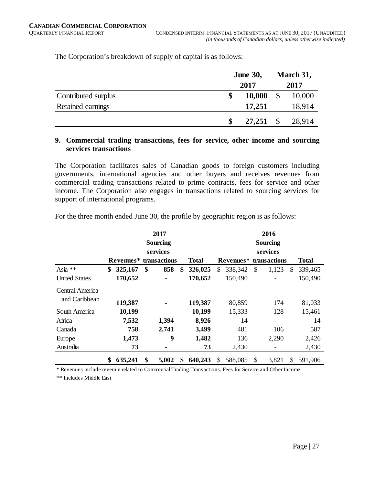The Corporation's breakdown of supply of capital is as follows:

|                     | <b>June 30,</b> |      | March 31, |  |
|---------------------|-----------------|------|-----------|--|
|                     | 2017            | 2017 |           |  |
| Contributed surplus | 10,000<br>\$    |      | 10,000    |  |
| Retained earnings   | 17,251          |      | 18,914    |  |
|                     | 27,251          |      | 28,914    |  |

#### **9. Commercial trading transactions, fees for service, other income and sourcing services transactions**

The Corporation facilitates sales of Canadian goods to foreign customers including governments, international agencies and other buyers and receives revenues from commercial trading transactions related to prime contracts, fees for service and other income. The Corporation also engages in transactions related to sourcing services for support of international programs.

|                      | 2017<br><b>Sourcing</b> |          |       | 2016            |              |                                    |               |              |
|----------------------|-------------------------|----------|-------|-----------------|--------------|------------------------------------|---------------|--------------|
|                      |                         |          |       | <b>Sourcing</b> |              |                                    |               |              |
|                      |                         | services |       |                 | services     |                                    |               |              |
|                      | Revenues* transactions  |          |       | <b>Total</b>    |              | Revenues <sup>*</sup> transactions |               | <b>Total</b> |
| Asia **              | \$<br>325,167           | \$       | 858   | \$<br>326,025   | 338,342<br>S | \$<br>1,123                        | <sup>\$</sup> | 339,465      |
| <b>United States</b> | 170,652                 |          |       | 170,652         | 150,490      |                                    |               | 150,490      |
| Central America      |                         |          |       |                 |              |                                    |               |              |
| and Caribbean        | 119,387                 |          |       | 119,387         | 80,859       | 174                                |               | 81,033       |
| South America        | 10,199                  |          | ۰     | 10,199          | 15,333       | 128                                |               | 15,461       |
| Africa               | 7,532                   |          | 1,394 | 8,926           | 14           | $\overline{\phantom{a}}$           |               | 14           |
| Canada               | 758                     |          | 2,741 | 3,499           | 481          | 106                                |               | 587          |
| Europe               | 1,473                   |          | 9     | 1,482           | 136          | 2,290                              |               | 2,426        |
| Australia            | 73                      |          | ۰     | 73              | 2,430        | -                                  |               | 2,430        |
|                      | 635,241<br>\$           | \$       | 5,002 | \$<br>640,243   | 588,085<br>S | \$<br>3,821                        | S             | 591,906      |

For the three month ended June 30, the profile by geographic region is as follows:

\* Revenues include revenue related to Commercial Trading Transactions, Fees for Service and Other Income.

\*\* Includes Middle East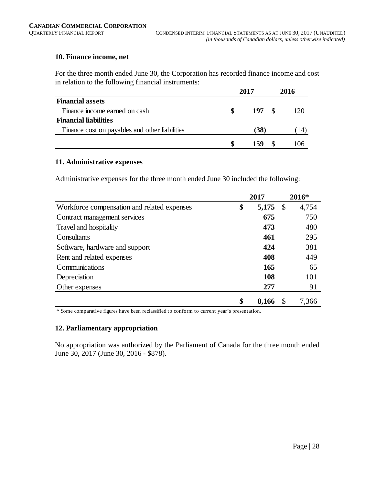#### **10. Finance income, net**

For the three month ended June 30, the Corporation has recorded finance income and cost in relation to the following financial instruments:

|                                                |   | 2017 | 2016 |
|------------------------------------------------|---|------|------|
| <b>Financial assets</b>                        |   |      |      |
| Finance income earned on cash                  | S | 197S | 120  |
| <b>Financial liabilities</b>                   |   |      |      |
| Finance cost on payables and other liabilities |   | (38) | 14   |
|                                                |   | 159  | 06   |

#### **11. Administrative expenses**

Administrative expenses for the three month ended June 30 included the following:

|                                             | 2017        |      | $2016*$ |
|---------------------------------------------|-------------|------|---------|
| Workforce compensation and related expenses | \$<br>5,175 | - \$ | 4,754   |
| Contract management services                | 675         |      | 750     |
| Travel and hospitality                      | 473         |      | 480     |
| Consultants                                 | 461         |      | 295     |
| Software, hardware and support              | 424         |      | 381     |
| Rent and related expenses                   | 408         |      | 449     |
| Communications                              | 165         |      | 65      |
| Depreciation                                | 108         |      | 101     |
| Other expenses                              | 277         |      | 91      |
|                                             | \$<br>8,166 |      | 7,366   |

\* Some comparative figures have been reclassified to conform to current year's presentation.

#### **12. Parliamentary appropriation**

No appropriation was authorized by the Parliament of Canada for the three month ended June 30, 2017 (June 30, 2016 - \$878).